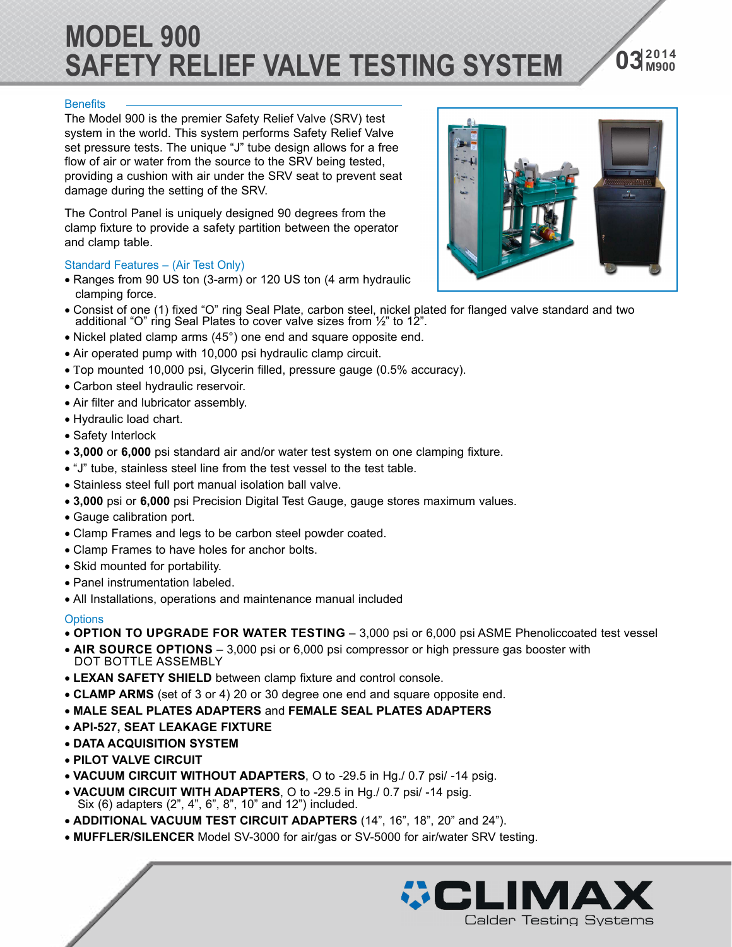## **MODEL 900 SAFETY RELIEF VALVE TESTING SYSTEM**

#### **Benefits**

The Model 900 is the premier Safety Relief Valve (SRV) test system in the world. This system performs Safety Relief Valve set pressure tests. The unique "J" tube design allows for a free flow of air or water from the source to the SRV being tested, providing a cushion with air under the SRV seat to prevent seat damage during the setting of the SRV.

The Control Panel is uniquely designed 90 degrees from the clamp fixture to provide a safety partition between the operator and clamp table.

#### Standard Features – (Air Test Only)

- Ranges from 90 US ton (3-arm) or 120 US ton (4 arm hydraulic clamping force.
- Consist of one (1) fixed "O" ring Seal Plate, carbon steel, nickel plated for flanged valve standard and two additional "O" ring Seal Plates to cover valve sizes from ½" to 12".
- Nickel plated clamp arms (45°) one end and square opposite end.
- Air operated pump with 10,000 psi hydraulic clamp circuit.
- Top mounted 10,000 psi, Glycerin filled, pressure gauge (0.5% accuracy).
- Carbon steel hydraulic reservoir.
- Air filter and lubricator assembly.
- Hydraulic load chart.
- Safety Interlock
- **3,000** or **6,000** psi standard air and/or water test system on one clamping fixture.
- "J" tube, stainless steel line from the test vessel to the test table.
- Stainless steel full port manual isolation ball valve.
- **3,000** psi or **6,000** psi Precision Digital Test Gauge, gauge stores maximum values.
- Gauge calibration port.
- Clamp Frames and legs to be carbon steel powder coated.
- Clamp Frames to have holes for anchor bolts.
- Skid mounted for portability.
- Panel instrumentation labeled.
- All Installations, operations and maintenance manual included

#### **Options**

- **OPTION TO UPGRADE FOR WATER TESTING**  3,000 psi or 6,000 psi ASME Phenoliccoated test vessel
- **AIR SOURCE OPTIONS**  3,000 psi or 6,000 psi compressor or high pressure gas booster with DOT BOTTLE ASSEMBLY
- **LEXAN SAFETY SHIELD** between clamp fixture and control console.
- **CLAMP ARMS** (set of 3 or 4) 20 or 30 degree one end and square opposite end.
- **MALE SEAL PLATES ADAPTERS** and **FEMALE SEAL PLATES ADAPTERS**
- **API-527, SEAT LEAKAGE FIXTURE**
- **DATA ACQUISITION SYSTEM**
- **PILOT VALVE CIRCUIT**
- **VACUUM CIRCUIT WITHOUT ADAPTERS**, O to -29.5 in Hg./ 0.7 psi/ -14 psig.
- **VACUUM CIRCUIT WITH ADAPTERS**, O to -29.5 in Hg./ 0.7 psi/ -14 psig. Six (6) adapters (2", 4", 6", 8", 10" and 12") included.
- **ADDITIONAL VACUUM TEST CIRCUIT ADAPTERS** (14", 16", 18", 20" and 24").
- **MUFFLER/SILENCER** Model SV-3000 for air/gas or SV-5000 for air/water SRV testing.





**<sup>2014</sup> 03 M900**